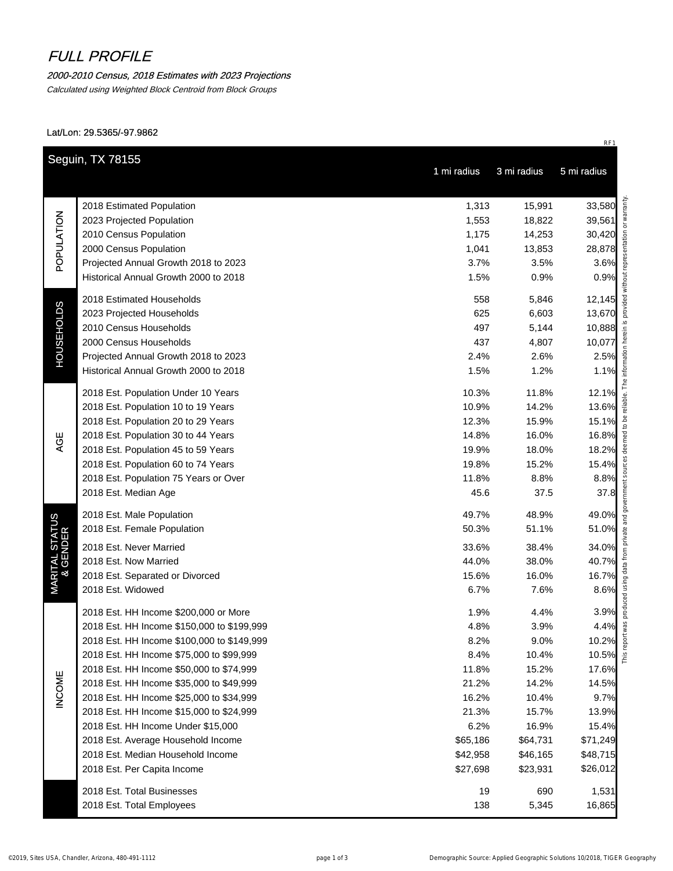## FULL PROFILE

#### 2000-2010 Census, 2018 Estimates with 2023 Projections

Calculated using Weighted Block Centroid from Block Groups

#### Lat/Lon: 29.5365/-97.9862

|                            |                                            | 1 mi radius | 3 mi radius | 5 mi radius |
|----------------------------|--------------------------------------------|-------------|-------------|-------------|
|                            | 2018 Estimated Population                  | 1,313       | 15,991      | 33,580      |
|                            | 2023 Projected Population                  | 1,553       | 18,822      | 39,561      |
|                            | 2010 Census Population                     | 1,175       | 14,253      | 30,420      |
| POPULATION                 | 2000 Census Population                     | 1,041       | 13,853      | 28,878      |
|                            | Projected Annual Growth 2018 to 2023       | 3.7%        | 3.5%        | 3.6%        |
|                            | Historical Annual Growth 2000 to 2018      | 1.5%        | 0.9%        | 0.9%        |
|                            | 2018 Estimated Households                  | 558         | 5,846       | 12,145      |
|                            | 2023 Projected Households                  | 625         | 6,603       | 13,670      |
| <b>HOUSEHOLDS</b>          | 2010 Census Households                     | 497         | 5,144       | 10,888      |
|                            | 2000 Census Households                     | 437         | 4,807       | 10,077      |
|                            | Projected Annual Growth 2018 to 2023       | 2.4%        | 2.6%        | 2.5%        |
|                            | Historical Annual Growth 2000 to 2018      | 1.5%        | 1.2%        | 1.1%        |
|                            | 2018 Est. Population Under 10 Years        | 10.3%       | 11.8%       | 12.1%       |
|                            | 2018 Est. Population 10 to 19 Years        | 10.9%       | 14.2%       | 13.6%       |
|                            | 2018 Est. Population 20 to 29 Years        | 12.3%       | 15.9%       | 15.1%       |
| AGE                        | 2018 Est. Population 30 to 44 Years        | 14.8%       | 16.0%       | 16.8%       |
|                            | 2018 Est. Population 45 to 59 Years        | 19.9%       | 18.0%       | 18.2%       |
|                            | 2018 Est. Population 60 to 74 Years        | 19.8%       | 15.2%       | 15.4%       |
|                            | 2018 Est. Population 75 Years or Over      | 11.8%       | 8.8%        | 8.8%        |
|                            | 2018 Est. Median Age                       | 45.6        | 37.5        | 37.8        |
|                            | 2018 Est. Male Population                  | 49.7%       | 48.9%       | 49.0%       |
| MARITAL STATUS<br>& GENDER | 2018 Est. Female Population                | 50.3%       | 51.1%       | 51.0%       |
|                            | 2018 Est. Never Married                    | 33.6%       | 38.4%       | 34.0%       |
|                            | 2018 Est. Now Married                      | 44.0%       | 38.0%       | 40.7%       |
|                            | 2018 Est. Separated or Divorced            | 15.6%       | 16.0%       | 16.7%       |
|                            | 2018 Est. Widowed                          | 6.7%        | 7.6%        | 8.6%        |
|                            | 2018 Est. HH Income \$200,000 or More      | 1.9%        | 4.4%        | 3.9%        |
|                            | 2018 Est. HH Income \$150,000 to \$199,999 | 4.8%        | 3.9%        | 4.4%        |
|                            | 2018 Est. HH Income \$100,000 to \$149,999 | 8.2%        | 9.0%        | 10.2%       |
|                            | 2018 Est. HH Income \$75,000 to \$99,999   | 8.4%        | 10.4%       | 10.5%       |
|                            | 2018 Est. HH Income \$50,000 to \$74,999   | 11.8%       | 15.2%       | 17.6%       |
| <b>INCOME</b>              | 2018 Est. HH Income \$35,000 to \$49,999   | 21.2%       | 14.2%       | 14.5%       |
|                            | 2018 Est. HH Income \$25,000 to \$34,999   | 16.2%       | 10.4%       | 9.7%        |
|                            | 2018 Est. HH Income \$15,000 to \$24,999   | 21.3%       | 15.7%       | 13.9%       |
|                            | 2018 Est. HH Income Under \$15,000         | 6.2%        | 16.9%       | 15.4%       |
|                            | 2018 Est. Average Household Income         | \$65,186    | \$64,731    | \$71,249    |
|                            | 2018 Est. Median Household Income          | \$42,958    | \$46,165    | \$48,715    |
|                            | 2018 Est. Per Capita Income                | \$27,698    | \$23,931    | \$26,012    |
|                            | 2018 Est. Total Businesses                 | 19          | 690         | 1,531       |
|                            | 2018 Est. Total Employees                  | 138         | 5,345       | 16,865      |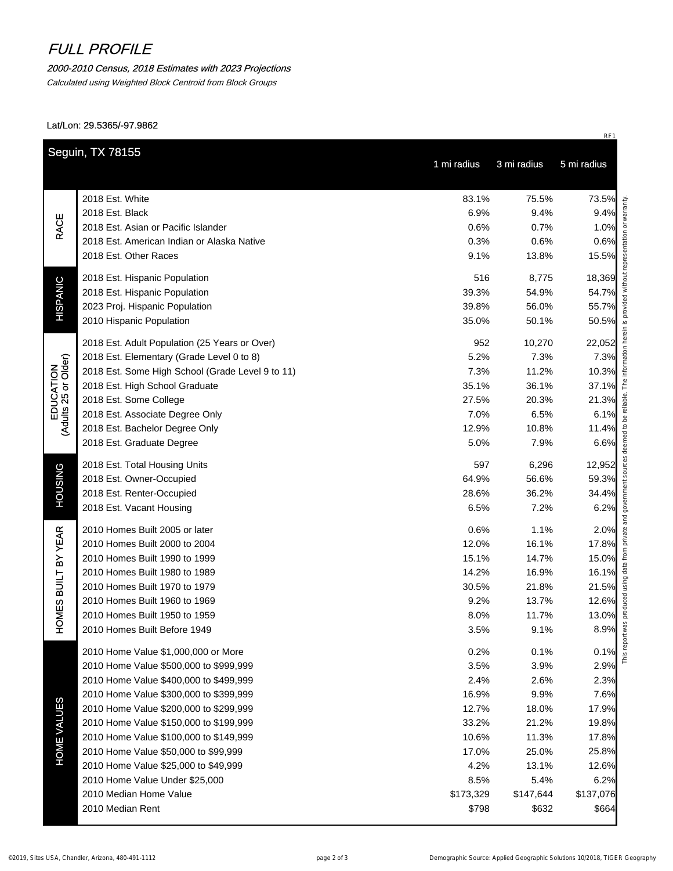# FULL PROFILE

## 2000-2010 Census, 2018 Estimates with 2023 Projections

Calculated using Weighted Block Centroid from Block Groups

#### Lat/Lon: 29.5365/-97.9862

|                                   |                                                  | 1 mi radius | 3 mi radius | 5 mi radius |
|-----------------------------------|--------------------------------------------------|-------------|-------------|-------------|
| <b>RACE</b>                       | 2018 Est. White                                  | 83.1%       | 75.5%       | 73.5%       |
|                                   | 2018 Est. Black                                  | 6.9%        | 9.4%        | 9.4%        |
|                                   | 2018 Est. Asian or Pacific Islander              | 0.6%        | 0.7%        | 1.0%        |
|                                   | 2018 Est. American Indian or Alaska Native       | 0.3%        | 0.6%        | 0.6%        |
|                                   | 2018 Est. Other Races                            | 9.1%        | 13.8%       | 15.5%       |
|                                   | 2018 Est. Hispanic Population                    | 516         | 8,775       | 18,369      |
|                                   | 2018 Est. Hispanic Population                    | 39.3%       | 54.9%       | 54.7%       |
| <b>HISPANIC</b>                   | 2023 Proj. Hispanic Population                   | 39.8%       | 56.0%       | 55.7%       |
|                                   | 2010 Hispanic Population                         | 35.0%       | 50.1%       | 50.5%       |
|                                   | 2018 Est. Adult Population (25 Years or Over)    | 952         | 10,270      | 22,052      |
|                                   | 2018 Est. Elementary (Grade Level 0 to 8)        | 5.2%        | 7.3%        | 7.3%        |
|                                   | 2018 Est. Some High School (Grade Level 9 to 11) | 7.3%        | 11.2%       | 10.3%       |
|                                   | 2018 Est. High School Graduate                   | 35.1%       | 36.1%       | 37.1%       |
| EDUCATION<br>(Adults 25 or Older) | 2018 Est. Some College                           | 27.5%       | 20.3%       | 21.3%       |
|                                   | 2018 Est. Associate Degree Only                  | 7.0%        | 6.5%        | 6.1%        |
|                                   | 2018 Est. Bachelor Degree Only                   | 12.9%       | 10.8%       | 11.4%       |
|                                   | 2018 Est. Graduate Degree                        | 5.0%        | 7.9%        | 6.6%        |
|                                   | 2018 Est. Total Housing Units                    | 597         | 6,296       | 12,952      |
|                                   | 2018 Est. Owner-Occupied                         | 64.9%       | 56.6%       | 59.3%       |
| <b>HOUSING</b>                    | 2018 Est. Renter-Occupied                        | 28.6%       | 36.2%       | 34.4%       |
|                                   | 2018 Est. Vacant Housing                         | 6.5%        | 7.2%        | 6.2%        |
|                                   | 2010 Homes Built 2005 or later                   | 0.6%        | 1.1%        | 2.0%        |
|                                   | 2010 Homes Built 2000 to 2004                    | 12.0%       | 16.1%       | 17.8%       |
|                                   | 2010 Homes Built 1990 to 1999                    | 15.1%       | 14.7%       | 15.0%       |
|                                   | 2010 Homes Built 1980 to 1989                    | 14.2%       | 16.9%       | 16.1%       |
| <b>BUILT BY YEAR</b>              | 2010 Homes Built 1970 to 1979                    | 30.5%       | 21.8%       | 21.5%       |
| w                                 | 2010 Homes Built 1960 to 1969                    | 9.2%        | 13.7%       | 12.6%       |
| <b>HOMES</b>                      | 2010 Homes Built 1950 to 1959                    | 8.0%        | 11.7%       | 13.0%       |
|                                   | 2010 Homes Built Before 1949                     | 3.5%        | 9.1%        | 8.9%        |
|                                   | 2010 Home Value \$1,000,000 or More              | 0.2%        | 0.1%        | 0.1%        |
|                                   | 2010 Home Value \$500,000 to \$999,999           | 3.5%        | 3.9%        | 2.9%        |
|                                   | 2010 Home Value \$400,000 to \$499,999           | 2.4%        | 2.6%        | 2.3%        |
|                                   | 2010 Home Value \$300,000 to \$399,999           | 16.9%       | 9.9%        | 7.6%        |
|                                   | 2010 Home Value \$200,000 to \$299,999           | 12.7%       | 18.0%       | 17.9%       |
|                                   | 2010 Home Value \$150,000 to \$199,999           | 33.2%       | 21.2%       | 19.8%       |
|                                   | 2010 Home Value \$100,000 to \$149,999           | 10.6%       | 11.3%       | 17.8%       |
| <b>HOME VALUES</b>                | 2010 Home Value \$50,000 to \$99,999             | 17.0%       | 25.0%       | 25.8%       |
|                                   | 2010 Home Value \$25,000 to \$49,999             | 4.2%        | 13.1%       | 12.6%       |
|                                   | 2010 Home Value Under \$25,000                   | 8.5%        | 5.4%        | 6.2%        |
|                                   | 2010 Median Home Value                           | \$173,329   | \$147,644   | \$137,076   |
|                                   | 2010 Median Rent                                 | \$798       | \$632       | \$664       |